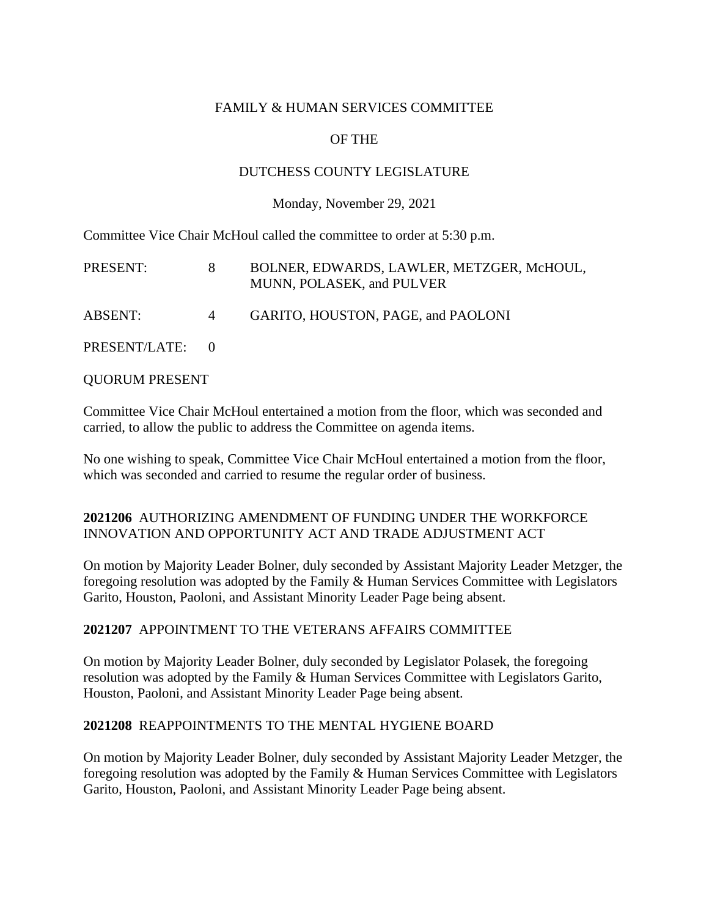#### FAMILY & HUMAN SERVICES COMMITTEE

# OF THE

### DUTCHESS COUNTY LEGISLATURE

Monday, November 29, 2021

Committee Vice Chair McHoul called the committee to order at 5:30 p.m.

| PRESENT:        |                | BOLNER, EDWARDS, LAWLER, METZGER, McHOUL,<br>MUNN, POLASEK, and PULVER |
|-----------------|----------------|------------------------------------------------------------------------|
| ABSENT:         | $\overline{4}$ | GARITO, HOUSTON, PAGE, and PAOLONI                                     |
| PRESENT/LATE: 0 |                |                                                                        |

QUORUM PRESENT

Committee Vice Chair McHoul entertained a motion from the floor, which was seconded and carried, to allow the public to address the Committee on agenda items.

No one wishing to speak, Committee Vice Chair McHoul entertained a motion from the floor, which was seconded and carried to resume the regular order of business.

### **2021206** AUTHORIZING AMENDMENT OF FUNDING UNDER THE WORKFORCE INNOVATION AND OPPORTUNITY ACT AND TRADE ADJUSTMENT ACT

On motion by Majority Leader Bolner, duly seconded by Assistant Majority Leader Metzger, the foregoing resolution was adopted by the Family & Human Services Committee with Legislators Garito, Houston, Paoloni, and Assistant Minority Leader Page being absent.

## **2021207** APPOINTMENT TO THE VETERANS AFFAIRS COMMITTEE

On motion by Majority Leader Bolner, duly seconded by Legislator Polasek, the foregoing resolution was adopted by the Family & Human Services Committee with Legislators Garito, Houston, Paoloni, and Assistant Minority Leader Page being absent.

#### **2021208** REAPPOINTMENTS TO THE MENTAL HYGIENE BOARD

On motion by Majority Leader Bolner, duly seconded by Assistant Majority Leader Metzger, the foregoing resolution was adopted by the Family & Human Services Committee with Legislators Garito, Houston, Paoloni, and Assistant Minority Leader Page being absent.